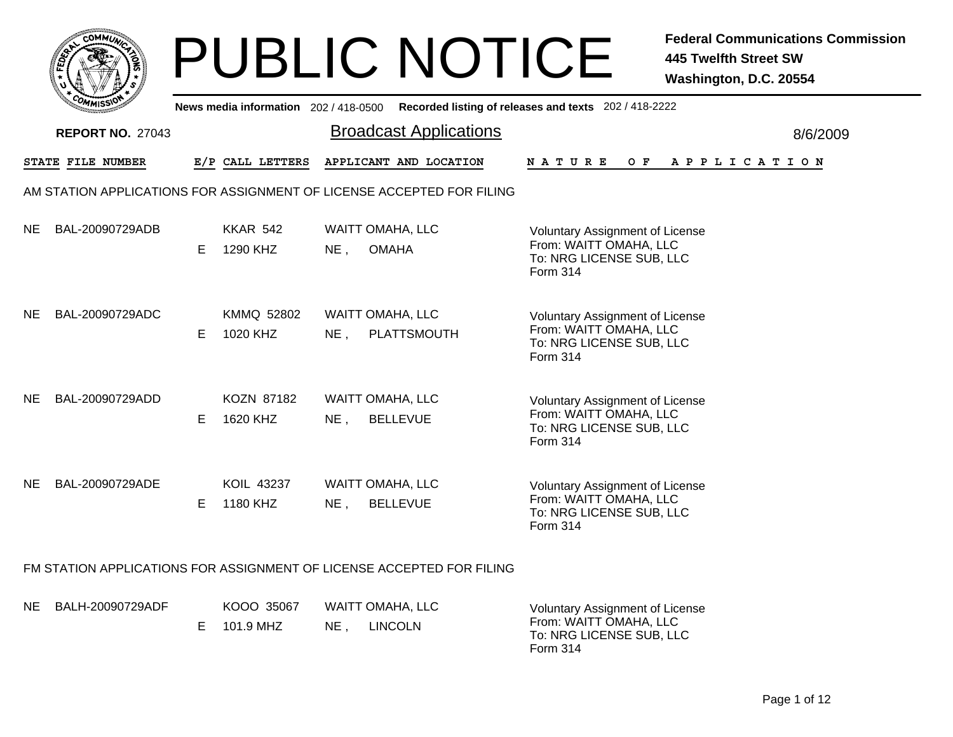|     | COMMUN                  |    |                                     | <b>PUBLIC NOTICE</b>                                                  | <b>Federal Communications Commission</b><br><b>445 Twelfth Street SW</b><br>Washington, D.C. 20554              |
|-----|-------------------------|----|-------------------------------------|-----------------------------------------------------------------------|-----------------------------------------------------------------------------------------------------------------|
|     |                         |    | News media information 202/418-0500 |                                                                       | Recorded listing of releases and texts 202 / 418-2222                                                           |
|     | <b>REPORT NO. 27043</b> |    |                                     | <b>Broadcast Applications</b>                                         | 8/6/2009                                                                                                        |
|     | STATE FILE NUMBER       |    | E/P CALL LETTERS                    | APPLICANT AND LOCATION                                                | N A T U R E<br>O F<br>A P P L I C A T I O N                                                                     |
|     |                         |    |                                     | AM STATION APPLICATIONS FOR ASSIGNMENT OF LICENSE ACCEPTED FOR FILING |                                                                                                                 |
| NE. | BAL-20090729ADB         | E. | <b>KKAR 542</b><br>1290 KHZ         | <b>WAITT OMAHA, LLC</b><br><b>OMAHA</b><br>$NE$ ,                     | Voluntary Assignment of License<br>From: WAITT OMAHA, LLC<br>To: NRG LICENSE SUB, LLC<br>Form 314               |
| NE. | BAL-20090729ADC         | E. | KMMQ 52802<br>1020 KHZ              | <b>WAITT OMAHA, LLC</b><br>$NE$ ,<br>PLATTSMOUTH                      | <b>Voluntary Assignment of License</b><br>From: WAITT OMAHA, LLC<br>To: NRG LICENSE SUB, LLC<br>Form 314        |
| NE. | BAL-20090729ADD         | E. | KOZN 87182<br>1620 KHZ              | WAITT OMAHA, LLC<br>$NE$ ,<br><b>BELLEVUE</b>                         | <b>Voluntary Assignment of License</b><br>From: WAITT OMAHA, LLC<br>To: NRG LICENSE SUB, LLC<br><b>Form 314</b> |
| NE. | BAL-20090729ADE         | E. | KOIL 43237<br>1180 KHZ              | <b>WAITT OMAHA, LLC</b><br>$NE$ ,<br><b>BELLEVUE</b>                  | <b>Voluntary Assignment of License</b><br>From: WAITT OMAHA, LLC<br>To: NRG LICENSE SUB, LLC<br>Form 314        |
|     |                         |    |                                     | FM STATION APPLICATIONS FOR ASSIGNMENT OF LICENSE ACCEPTED FOR FILING |                                                                                                                 |

| NE BALH-20090729ADF | KOOO 35067  |     | WAITT OMAHA. LLC | <b>Voluntary Assignment of License</b>                         |
|---------------------|-------------|-----|------------------|----------------------------------------------------------------|
|                     | E 101.9 MHZ | NE. | <b>LINCOLN</b>   | From: WAITT OMAHA. LLC<br>To: NRG LICENSE SUB, LLC<br>Form 314 |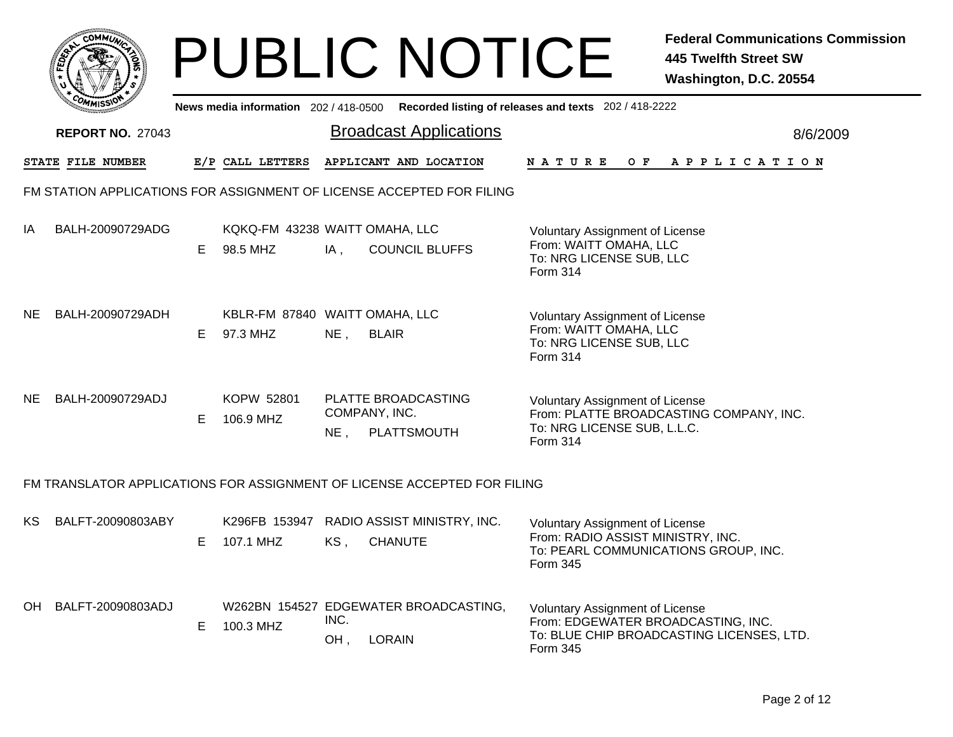|     | сомм <i>и</i>                                                            |    |                                            |                         | <b>PUBLIC NOTICE</b>                                   |                                                                                                                                 | <b>Federal Communications Commission</b><br><b>445 Twelfth Street SW</b><br>Washington, D.C. 20554 |
|-----|--------------------------------------------------------------------------|----|--------------------------------------------|-------------------------|--------------------------------------------------------|---------------------------------------------------------------------------------------------------------------------------------|----------------------------------------------------------------------------------------------------|
|     |                                                                          |    | News media information 202 / 418-0500      |                         | Recorded listing of releases and texts 202 / 418-2222  |                                                                                                                                 |                                                                                                    |
|     | <b>REPORT NO. 27043</b>                                                  |    |                                            |                         | <b>Broadcast Applications</b>                          |                                                                                                                                 | 8/6/2009                                                                                           |
|     | STATE FILE NUMBER                                                        |    | E/P CALL LETTERS                           |                         | APPLICANT AND LOCATION                                 | <b>NATURE</b><br>O F                                                                                                            | A P P L I C A T I O N                                                                              |
|     | FM STATION APPLICATIONS FOR ASSIGNMENT OF LICENSE ACCEPTED FOR FILING    |    |                                            |                         |                                                        |                                                                                                                                 |                                                                                                    |
| IA  | BALH-20090729ADG                                                         | E. | KQKQ-FM 43238 WAITT OMAHA, LLC<br>98.5 MHZ | IA,                     | <b>COUNCIL BLUFFS</b>                                  | <b>Voluntary Assignment of License</b><br>From: WAITT OMAHA, LLC<br>To: NRG LICENSE SUB, LLC<br><b>Form 314</b>                 |                                                                                                    |
| NE. | BALH-20090729ADH                                                         | E. | KBLR-FM 87840 WAITT OMAHA, LLC<br>97.3 MHZ | NE <sub>1</sub>         | <b>BLAIR</b>                                           | <b>Voluntary Assignment of License</b><br>From: WAITT OMAHA, LLC<br>To: NRG LICENSE SUB, LLC<br><b>Form 314</b>                 |                                                                                                    |
| NE. | BALH-20090729ADJ                                                         | E. | KOPW 52801<br>106.9 MHZ                    | COMPANY, INC.<br>$NE$ , | PLATTE BROADCASTING<br>PLATTSMOUTH                     | <b>Voluntary Assignment of License</b><br>To: NRG LICENSE SUB, L.L.C.<br><b>Form 314</b>                                        | From: PLATTE BROADCASTING COMPANY, INC.                                                            |
|     | FM TRANSLATOR APPLICATIONS FOR ASSIGNMENT OF LICENSE ACCEPTED FOR FILING |    |                                            |                         |                                                        |                                                                                                                                 |                                                                                                    |
| KS. | BALFT-20090803ABY                                                        | E. | K296FB 153947<br>107.1 MHZ                 | KS,                     | RADIO ASSIST MINISTRY, INC.<br><b>CHANUTE</b>          | <b>Voluntary Assignment of License</b><br>From: RADIO ASSIST MINISTRY, INC.<br>To: PEARL COMMUNICATIONS GROUP, INC.<br>Form 345 |                                                                                                    |
| OH  | BALFT-20090803ADJ                                                        | E. | 100.3 MHZ                                  | INC.<br>OH,             | W262BN 154527 EDGEWATER BROADCASTING,<br><b>LORAIN</b> | <b>Voluntary Assignment of License</b><br>From: EDGEWATER BROADCASTING, INC.<br>Form 345                                        | To: BLUE CHIP BROADCASTING LICENSES, LTD.                                                          |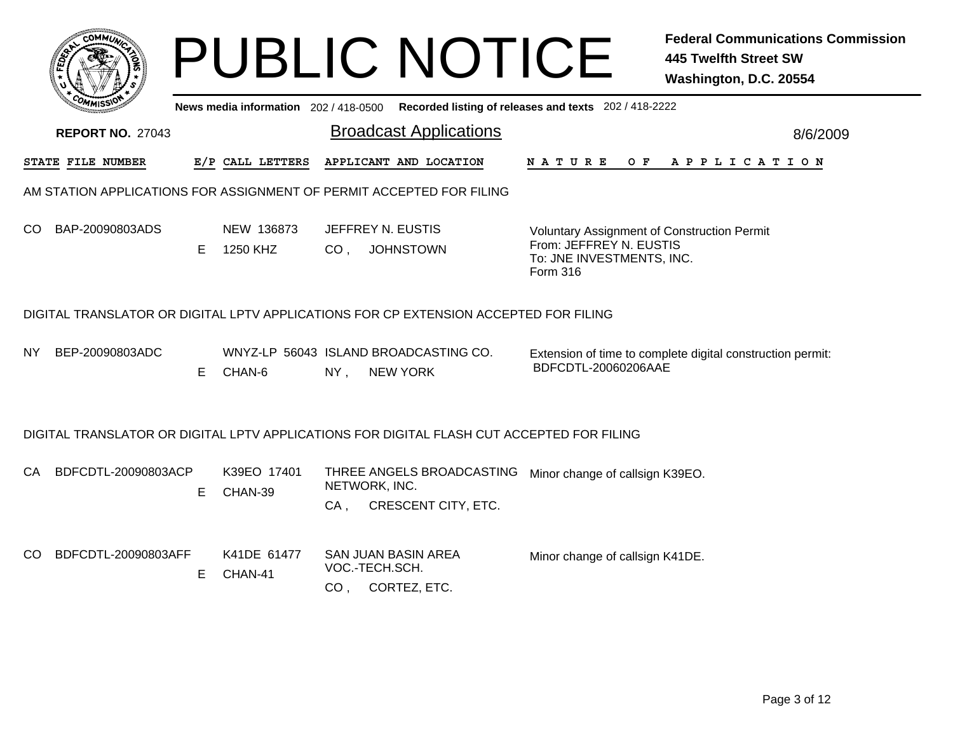|                                                                      |                                                                                      |    | News media information 202 / 418-0500 |                 | <b>PUBLIC NOTICE</b><br>Recorded listing of releases and texts 202 / 418-2222                     |                                                                  |     | <b>Federal Communications Commission</b><br><b>445 Twelfth Street SW</b><br>Washington, D.C. 20554 |  |
|----------------------------------------------------------------------|--------------------------------------------------------------------------------------|----|---------------------------------------|-----------------|---------------------------------------------------------------------------------------------------|------------------------------------------------------------------|-----|----------------------------------------------------------------------------------------------------|--|
|                                                                      | <b>REPORT NO. 27043</b>                                                              |    |                                       |                 | <b>Broadcast Applications</b>                                                                     |                                                                  |     | 8/6/2009                                                                                           |  |
|                                                                      | STATE FILE NUMBER                                                                    |    | E/P CALL LETTERS                      |                 | APPLICANT AND LOCATION                                                                            | <b>NATURE</b>                                                    | O F | A P P L I C A T I O N                                                                              |  |
| AM STATION APPLICATIONS FOR ASSIGNMENT OF PERMIT ACCEPTED FOR FILING |                                                                                      |    |                                       |                 |                                                                                                   |                                                                  |     |                                                                                                    |  |
| CO.                                                                  | BAP-20090803ADS                                                                      | E. | NEW 136873<br>1250 KHZ                | CO <sub>1</sub> | JEFFREY N. EUSTIS<br><b>JOHNSTOWN</b>                                                             | From: JEFFREY N. EUSTIS<br>To: JNE INVESTMENTS, INC.<br>Form 316 |     | Voluntary Assignment of Construction Permit                                                        |  |
|                                                                      | DIGITAL TRANSLATOR OR DIGITAL LPTV APPLICATIONS FOR CP EXTENSION ACCEPTED FOR FILING |    |                                       |                 |                                                                                                   |                                                                  |     |                                                                                                    |  |
| NY.                                                                  | BEP-20090803ADC                                                                      | E. | CHAN-6                                | $NY$ ,          | WNYZ-LP 56043 ISLAND BROADCASTING CO.<br><b>NEW YORK</b>                                          | BDFCDTL-20060206AAE                                              |     | Extension of time to complete digital construction permit:                                         |  |
|                                                                      |                                                                                      |    |                                       |                 | DIGITAL TRANSLATOR OR DIGITAL LPTV APPLICATIONS FOR DIGITAL FLASH CUT ACCEPTED FOR FILING         |                                                                  |     |                                                                                                    |  |
| CA.                                                                  | BDFCDTL-20090803ACP                                                                  | E  | K39EO 17401<br>CHAN-39                | CA,             | THREE ANGELS BROADCASTING Minor change of callsign K39EO.<br>NETWORK, INC.<br>CRESCENT CITY, ETC. |                                                                  |     |                                                                                                    |  |
| CO.                                                                  | BDFCDTL-20090803AFF                                                                  | E. | K41DE 61477<br>CHAN-41                | CO <sub>1</sub> | SAN JUAN BASIN AREA<br>VOC.-TECH.SCH.<br>CORTEZ, ETC.                                             | Minor change of callsign K41DE.                                  |     |                                                                                                    |  |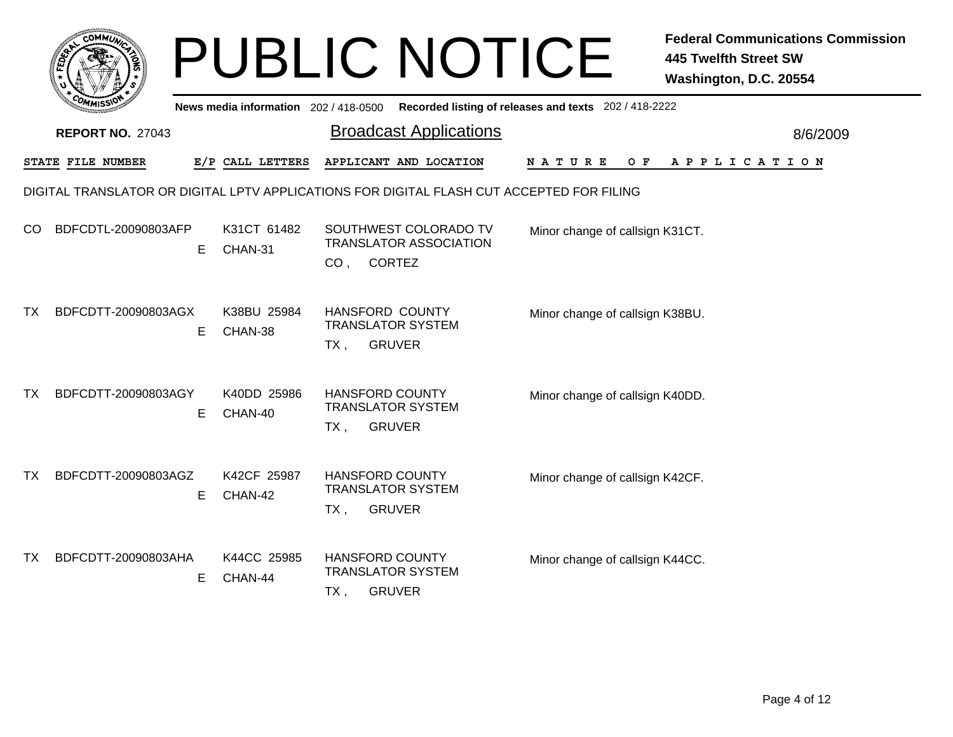|     |                                                                                           |                                     | <b>PUBLIC NOTICE</b>                                                          |                                                       | <b>Federal Communications Commission</b><br><b>445 Twelfth Street SW</b><br>Washington, D.C. 20554 |  |  |  |  |  |
|-----|-------------------------------------------------------------------------------------------|-------------------------------------|-------------------------------------------------------------------------------|-------------------------------------------------------|----------------------------------------------------------------------------------------------------|--|--|--|--|--|
|     |                                                                                           | News media information 202/418-0500 |                                                                               | Recorded listing of releases and texts 202 / 418-2222 |                                                                                                    |  |  |  |  |  |
|     | <b>REPORT NO. 27043</b>                                                                   |                                     | <b>Broadcast Applications</b>                                                 |                                                       | 8/6/2009                                                                                           |  |  |  |  |  |
|     | STATE FILE NUMBER                                                                         | E/P CALL LETTERS                    | APPLICANT AND LOCATION                                                        | O F<br>N A T U R E                                    | A P P L I C A T I O N                                                                              |  |  |  |  |  |
|     | DIGITAL TRANSLATOR OR DIGITAL LPTV APPLICATIONS FOR DIGITAL FLASH CUT ACCEPTED FOR FILING |                                     |                                                                               |                                                       |                                                                                                    |  |  |  |  |  |
| CO. | BDFCDTL-20090803AFP<br>E                                                                  | K31CT 61482<br>CHAN-31              | SOUTHWEST COLORADO TV<br><b>TRANSLATOR ASSOCIATION</b>                        | Minor change of callsign K31CT.                       |                                                                                                    |  |  |  |  |  |
|     |                                                                                           |                                     | CO, CORTEZ                                                                    |                                                       |                                                                                                    |  |  |  |  |  |
| TX. | BDFCDTT-20090803AGX<br>E                                                                  | K38BU 25984<br>CHAN-38              | HANSFORD COUNTY<br><b>TRANSLATOR SYSTEM</b><br><b>GRUVER</b><br>TX ,          | Minor change of callsign K38BU.                       |                                                                                                    |  |  |  |  |  |
| TX. | BDFCDTT-20090803AGY<br>E                                                                  | K40DD 25986<br>CHAN-40              | <b>HANSFORD COUNTY</b><br><b>TRANSLATOR SYSTEM</b><br><b>GRUVER</b><br>TX,    | Minor change of callsign K40DD.                       |                                                                                                    |  |  |  |  |  |
| TX. | BDFCDTT-20090803AGZ<br>E                                                                  | K42CF 25987<br>CHAN-42              | <b>HANSFORD COUNTY</b><br><b>TRANSLATOR SYSTEM</b><br><b>GRUVER</b><br>TX ,   | Minor change of callsign K42CF.                       |                                                                                                    |  |  |  |  |  |
| TX. | BDFCDTT-20090803AHA<br>Е                                                                  | K44CC 25985<br>CHAN-44              | <b>HANSFORD COUNTY</b><br><b>TRANSLATOR SYSTEM</b><br><b>GRUVER</b><br>$TX$ , | Minor change of callsign K44CC.                       |                                                                                                    |  |  |  |  |  |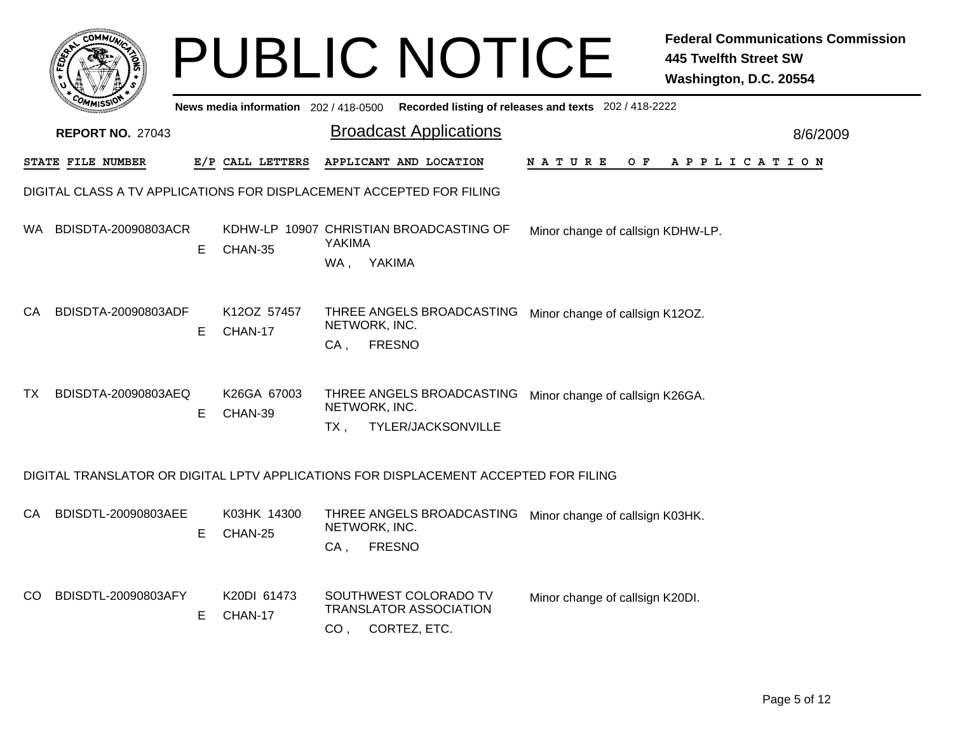|     |                                                                                      |    |                                     |                         | <b>PUBLIC NOTICE</b>                                                       |                                   | <b>Federal Communications Commission</b><br><b>445 Twelfth Street SW</b><br>Washington, D.C. 20554 |
|-----|--------------------------------------------------------------------------------------|----|-------------------------------------|-------------------------|----------------------------------------------------------------------------|-----------------------------------|----------------------------------------------------------------------------------------------------|
|     |                                                                                      |    | News media information 202/418-0500 |                         | Recorded listing of releases and texts 202 / 418-2222                      |                                   |                                                                                                    |
|     | <b>REPORT NO. 27043</b>                                                              |    |                                     |                         | <b>Broadcast Applications</b>                                              |                                   | 8/6/2009                                                                                           |
|     | STATE FILE NUMBER                                                                    |    | E/P CALL LETTERS                    |                         | APPLICANT AND LOCATION                                                     | <b>NATURE</b><br>O F              | APPLICATION                                                                                        |
|     | DIGITAL CLASS A TV APPLICATIONS FOR DISPLACEMENT ACCEPTED FOR FILING                 |    |                                     |                         |                                                                            |                                   |                                                                                                    |
| WA. | BDISDTA-20090803ACR                                                                  | Е  | CHAN-35                             | YAKIMA<br>WA, YAKIMA    | KDHW-LP 10907 CHRISTIAN BROADCASTING OF                                    | Minor change of callsign KDHW-LP. |                                                                                                    |
| CA  | BDISDTA-20090803ADF                                                                  | Е  | K12OZ 57457<br>CHAN-17              | NETWORK, INC.<br>$CA$ , | THREE ANGELS BROADCASTING<br><b>FRESNO</b>                                 | Minor change of callsign K12OZ.   |                                                                                                    |
| TX. | BDISDTA-20090803AEQ                                                                  | Е  | K26GA 67003<br>CHAN-39              | NETWORK, INC.<br>TX,    | THREE ANGELS BROADCASTING<br>TYLER/JACKSONVILLE                            | Minor change of callsign K26GA.   |                                                                                                    |
|     | DIGITAL TRANSLATOR OR DIGITAL LPTV APPLICATIONS FOR DISPLACEMENT ACCEPTED FOR FILING |    |                                     |                         |                                                                            |                                   |                                                                                                    |
| CA  | BDISDTL-20090803AEE                                                                  | E. | K03HK 14300<br>CHAN-25              | NETWORK, INC.<br>$CA$ , | THREE ANGELS BROADCASTING<br><b>FRESNO</b>                                 | Minor change of callsign K03HK.   |                                                                                                    |
| CO. | BDISDTL-20090803AFY                                                                  | E. | K20DI 61473<br>CHAN-17              |                         | SOUTHWEST COLORADO TV<br><b>TRANSLATOR ASSOCIATION</b><br>CO, CORTEZ, ETC. | Minor change of callsign K20DI.   |                                                                                                    |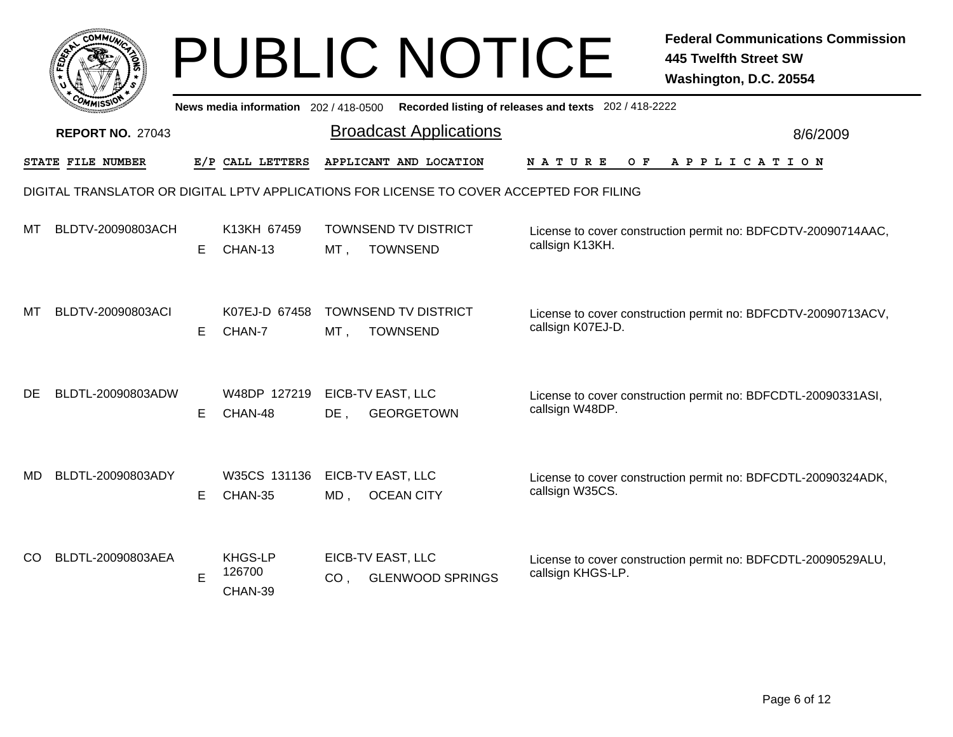|     |                                                                                          |    |                                       | <b>PUBLIC NOTICE</b>                                            |                                                       | <b>Federal Communications Commission</b><br><b>445 Twelfth Street SW</b><br>Washington, D.C. 20554 |  |  |  |
|-----|------------------------------------------------------------------------------------------|----|---------------------------------------|-----------------------------------------------------------------|-------------------------------------------------------|----------------------------------------------------------------------------------------------------|--|--|--|
|     |                                                                                          |    | News media information 202 / 418-0500 |                                                                 | Recorded listing of releases and texts 202 / 418-2222 |                                                                                                    |  |  |  |
|     | <b>REPORT NO. 27043</b>                                                                  |    |                                       | <b>Broadcast Applications</b>                                   |                                                       | 8/6/2009                                                                                           |  |  |  |
|     | STATE FILE NUMBER                                                                        |    | E/P CALL LETTERS                      | APPLICANT AND LOCATION                                          | N A T U R E<br>O F                                    | A P P L I C A T I O N                                                                              |  |  |  |
|     | DIGITAL TRANSLATOR OR DIGITAL LPTV APPLICATIONS FOR LICENSE TO COVER ACCEPTED FOR FILING |    |                                       |                                                                 |                                                       |                                                                                                    |  |  |  |
| МT  | BLDTV-20090803ACH                                                                        | E. | K13KH 67459<br>CHAN-13                | <b>TOWNSEND TV DISTRICT</b><br><b>TOWNSEND</b><br>MT,           | callsign K13KH.                                       | License to cover construction permit no: BDFCDTV-20090714AAC,                                      |  |  |  |
| мт  | BLDTV-20090803ACI                                                                        | Е  | K07EJ-D 67458<br>CHAN-7               | <b>TOWNSEND TV DISTRICT</b><br>$MT$ ,<br><b>TOWNSEND</b>        | callsign K07EJ-D.                                     | License to cover construction permit no: BDFCDTV-20090713ACV,                                      |  |  |  |
| DE  | BLDTL-20090803ADW                                                                        | E  | W48DP 127219<br>CHAN-48               | EICB-TV EAST, LLC<br>$DE$ ,<br><b>GEORGETOWN</b>                | callsign W48DP.                                       | License to cover construction permit no: BDFCDTL-20090331ASI,                                      |  |  |  |
| MD. | BLDTL-20090803ADY                                                                        | Е  | CHAN-35                               | W35CS 131136 EICB-TV EAST, LLC<br>MD, OCEAN CITY                | callsign W35CS.                                       | License to cover construction permit no: BDFCDTL-20090324ADK,                                      |  |  |  |
| CO. | BLDTL-20090803AEA                                                                        | E  | <b>KHGS-LP</b><br>126700<br>CHAN-39   | EICB-TV EAST, LLC<br><b>GLENWOOD SPRINGS</b><br>CO <sub>1</sub> | callsign KHGS-LP.                                     | License to cover construction permit no: BDFCDTL-20090529ALU,                                      |  |  |  |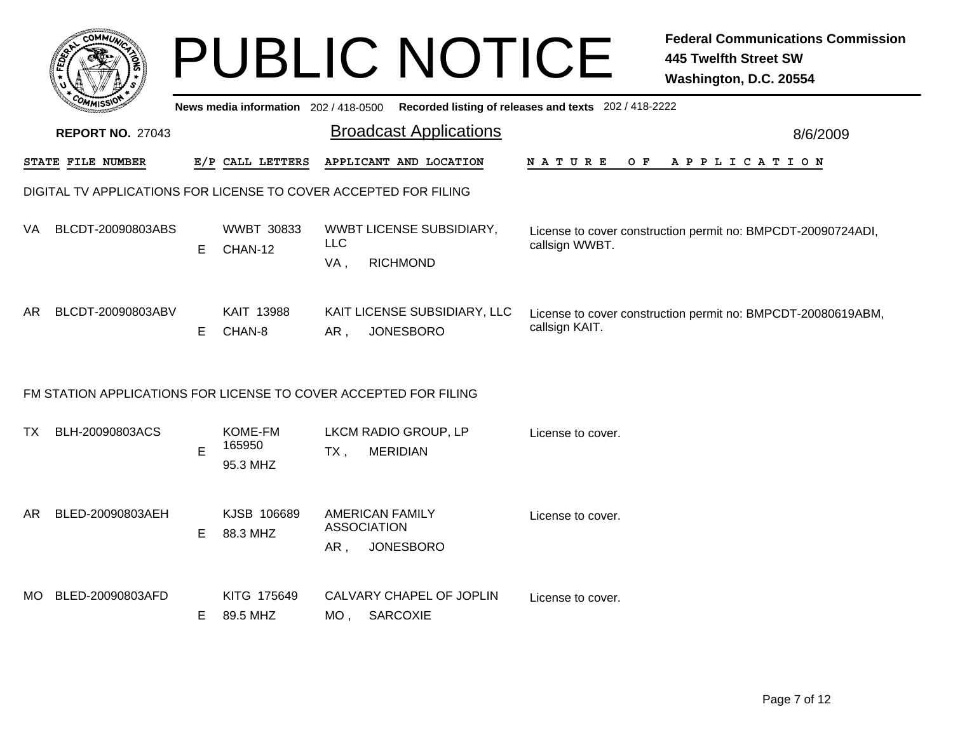|                                                                  | <b>COMMI</b>                                                     |    |                               |                   | <b>PUBLIC NOTICE</b>                                                                        |                    | <b>Federal Communications Commission</b><br><b>445 Twelfth Street SW</b><br>Washington, D.C. 20554 |  |  |
|------------------------------------------------------------------|------------------------------------------------------------------|----|-------------------------------|-------------------|---------------------------------------------------------------------------------------------|--------------------|----------------------------------------------------------------------------------------------------|--|--|
|                                                                  |                                                                  |    |                               |                   | News media information 202 / 418-0500 Recorded listing of releases and texts 202 / 418-2222 |                    |                                                                                                    |  |  |
|                                                                  | <b>REPORT NO. 27043</b>                                          |    |                               |                   | <b>Broadcast Applications</b>                                                               |                    | 8/6/2009                                                                                           |  |  |
|                                                                  | <b>STATE FILE NUMBER</b>                                         |    | E/P CALL LETTERS              |                   | APPLICANT AND LOCATION                                                                      | N A T U R E<br>O F | A P P L I C A T I O N                                                                              |  |  |
| DIGITAL TV APPLICATIONS FOR LICENSE TO COVER ACCEPTED FOR FILING |                                                                  |    |                               |                   |                                                                                             |                    |                                                                                                    |  |  |
| VA.                                                              | BLCDT-20090803ABS                                                | E. | <b>WWBT 30833</b><br>CHAN-12  | <b>LLC</b><br>VA, | WWBT LICENSE SUBSIDIARY,<br><b>RICHMOND</b>                                                 | callsign WWBT.     | License to cover construction permit no: BMPCDT-20090724ADI,                                       |  |  |
| AR                                                               | BLCDT-20090803ABV                                                | E. | KAIT 13988<br>CHAN-8          | AR,               | KAIT LICENSE SUBSIDIARY, LLC<br><b>JONESBORO</b>                                            | callsign KAIT.     | License to cover construction permit no: BMPCDT-20080619ABM,                                       |  |  |
|                                                                  | FM STATION APPLICATIONS FOR LICENSE TO COVER ACCEPTED FOR FILING |    |                               |                   |                                                                                             |                    |                                                                                                    |  |  |
| TX                                                               | BLH-20090803ACS                                                  | Е  | KOME-FM<br>165950<br>95.3 MHZ | TX,               | LKCM RADIO GROUP, LP<br><b>MERIDIAN</b>                                                     | License to cover.  |                                                                                                    |  |  |
| AR I                                                             | BLED-20090803AEH                                                 | E  | KJSB 106689<br>88.3 MHZ       | AR,               | <b>AMERICAN FAMILY</b><br><b>ASSOCIATION</b><br><b>JONESBORO</b>                            | License to cover.  |                                                                                                    |  |  |
|                                                                  | MO BLED-20090803AFD                                              | E. | KITG 175649<br>89.5 MHZ       |                   | CALVARY CHAPEL OF JOPLIN<br>MO, SARCOXIE                                                    | License to cover.  |                                                                                                    |  |  |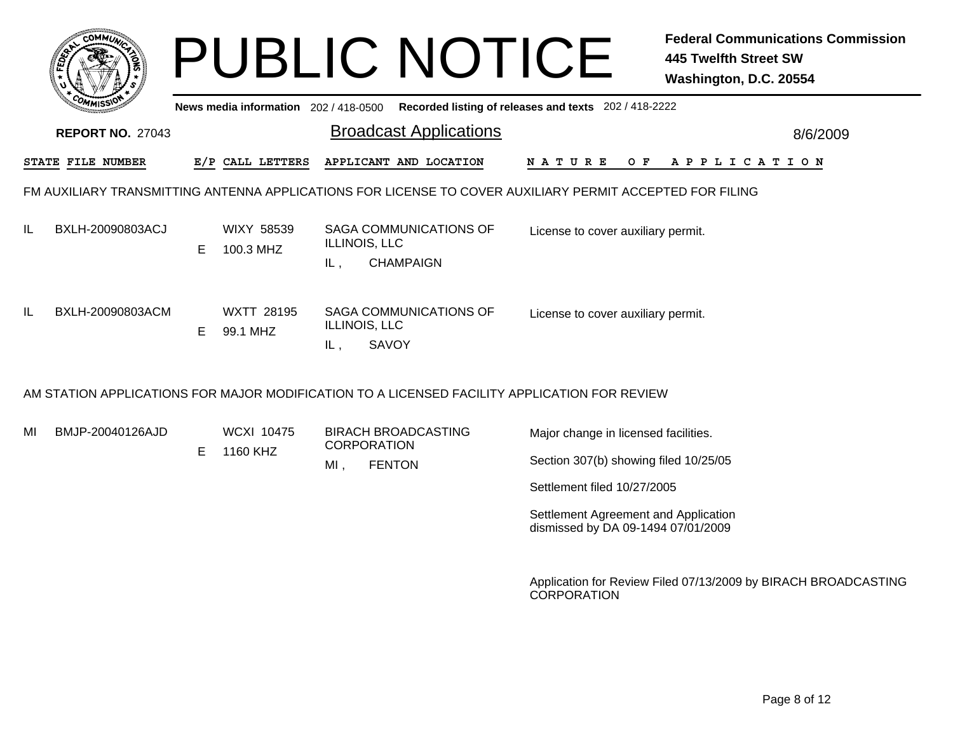| $c$ <sub>O</sub> MM $\vec{u}$ |                                                                                              |    |                                     | <b>PUBLIC NOTICE</b>                                                                                     | <b>Federal Communications Commission</b><br><b>445 Twelfth Street SW</b><br>Washington, D.C. 20554 |                       |  |  |  |  |
|-------------------------------|----------------------------------------------------------------------------------------------|----|-------------------------------------|----------------------------------------------------------------------------------------------------------|----------------------------------------------------------------------------------------------------|-----------------------|--|--|--|--|
|                               |                                                                                              |    | News media information 202/418-0500 |                                                                                                          | Recorded listing of releases and texts 202 / 418-2222                                              |                       |  |  |  |  |
|                               | <b>REPORT NO. 27043</b>                                                                      |    |                                     | <b>Broadcast Applications</b>                                                                            |                                                                                                    | 8/6/2009              |  |  |  |  |
|                               | STATE FILE NUMBER                                                                            |    | E/P CALL LETTERS                    | APPLICANT AND LOCATION                                                                                   | N A T U R E<br>O F                                                                                 | A P P L I C A T I O N |  |  |  |  |
|                               |                                                                                              |    |                                     | FM AUXILIARY TRANSMITTING ANTENNA APPLICATIONS FOR LICENSE TO COVER AUXILIARY PERMIT ACCEPTED FOR FILING |                                                                                                    |                       |  |  |  |  |
| IL                            | BXLH-20090803ACJ                                                                             | E. | WIXY 58539<br>100.3 MHZ             | SAGA COMMUNICATIONS OF<br>ILLINOIS, LLC<br><b>CHAMPAIGN</b><br>IL,                                       | License to cover auxiliary permit.                                                                 |                       |  |  |  |  |
| IL                            | BXLH-20090803ACM                                                                             | E. | <b>WXTT 28195</b><br>99.1 MHZ       | SAGA COMMUNICATIONS OF<br>ILLINOIS, LLC<br><b>SAVOY</b><br>IL,                                           | License to cover auxiliary permit.                                                                 |                       |  |  |  |  |
|                               | AM STATION APPLICATIONS FOR MAJOR MODIFICATION TO A LICENSED FACILITY APPLICATION FOR REVIEW |    |                                     |                                                                                                          |                                                                                                    |                       |  |  |  |  |

MIBMJP-20040126AJD

E 1160 KHZ

WCXI 10475 BIRACH BROADCASTING**CORPORATION** MI, , FENTON

Major change in licensed facilities.

Section 307(b) showing filed 10/25/05

Settlement filed 10/27/2005

Settlement Agreement and Application dismissed by DA 09-1494 07/01/2009

Application for Review Filed 07/13/2009 by BIRACH BROADCASTING CORPORATION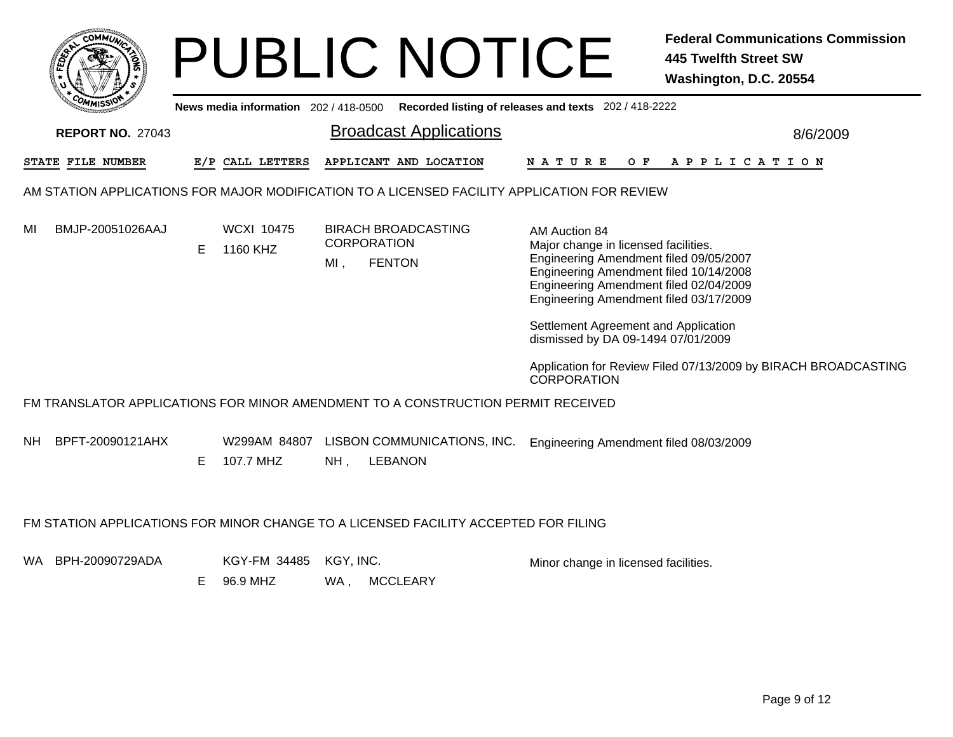|    | MMUNICT<br>c۵۱ |    |
|----|----------------|----|
| É, |                | Ğ. |
|    |                |    |
|    | COMI<br>MISS   |    |

## PUBLIC NOTICE **Federal Communications Commission 445 Twelfth Street SW Washington, D.C. 20554**

Broadcast Applications 8/6/2009 **News media information** 202 / 418-0500 **Recorded listing of releases and texts** 202 / 418-2222 **REPORT NO.** 27043**STATE FILE NUMBER E/P CALL LETTERS APPLICANT AND LOCATION N A T U R E O F A P P L I C A T I O N** AM STATION APPLICATIONS FOR MAJOR MODIFICATION TO A LICENSED FACILITY APPLICATION FOR REVIEWWCXI 10475 BIRACH BROADCASTING**CORPORATION** MIMI. , FENTON BMJP-20051026AAJE 1160 KHZ AM Auction 84Major change in licensed facilities. Engineering Amendment filed 09/05/2007 Engineering Amendment filed 10/14/2008 Engineering Amendment filed 02/04/2009 Engineering Amendment filed 03/17/2009 Settlement Agreement and Application dismissed by DA 09-1494 07/01/2009 Application for Review Filed 07/13/2009 by BIRACH BROADCASTING **CORPORATION** FM TRANSLATOR APPLICATIONS FOR MINOR AMENDMENT TO A CONSTRUCTION PERMIT RECEIVEDNH W299AM 84807 LISBON COMMUNICATIONS, INC. NH. , LEBANON BPFT-20090121AHXE 107.7 MHZ Engineering Amendment filed 08/03/2009 FM STATION APPLICATIONS FOR MINOR CHANGE TO A LICENSED FACILITY ACCEPTED FOR FILINGWA KGY-FM 34485 KGY, INC. BPH-20090729ADAWA , MCCLEARY E 96.9 MHZ Minor change in licensed facilities.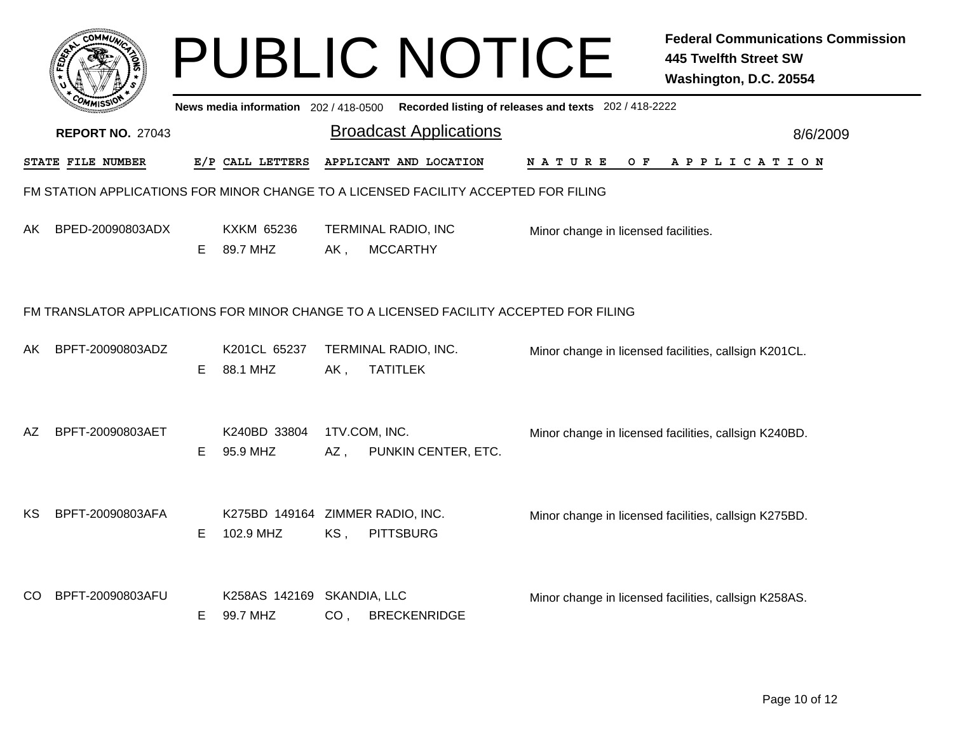|                                                                                        |                          |    |                                               |                      | <b>PUBLIC NOTICE</b>                                                                    |                                      | <b>Federal Communications Commission</b><br><b>445 Twelfth Street SW</b><br>Washington, D.C. 20554 |  |  |
|----------------------------------------------------------------------------------------|--------------------------|----|-----------------------------------------------|----------------------|-----------------------------------------------------------------------------------------|--------------------------------------|----------------------------------------------------------------------------------------------------|--|--|
|                                                                                        |                          |    |                                               |                      | News media information 202/418-0500 Recorded listing of releases and texts 202/418-2222 |                                      |                                                                                                    |  |  |
|                                                                                        | <b>REPORT NO. 27043</b>  |    |                                               |                      | <b>Broadcast Applications</b>                                                           |                                      | 8/6/2009                                                                                           |  |  |
|                                                                                        | <b>STATE FILE NUMBER</b> |    | E/P CALL LETTERS                              |                      | APPLICANT AND LOCATION                                                                  | N A T U R E                          | OF APPLICATION                                                                                     |  |  |
| FM STATION APPLICATIONS FOR MINOR CHANGE TO A LICENSED FACILITY ACCEPTED FOR FILING    |                          |    |                                               |                      |                                                                                         |                                      |                                                                                                    |  |  |
|                                                                                        | AK BPED-20090803ADX      | E. | KXKM 65236<br>89.7 MHZ                        | AK,                  | TERMINAL RADIO, INC<br><b>MCCARTHY</b>                                                  | Minor change in licensed facilities. |                                                                                                    |  |  |
| FM TRANSLATOR APPLICATIONS FOR MINOR CHANGE TO A LICENSED FACILITY ACCEPTED FOR FILING |                          |    |                                               |                      |                                                                                         |                                      |                                                                                                    |  |  |
| AK                                                                                     | BPFT-20090803ADZ         | E. | K201CL 65237<br>88.1 MHZ                      | AK,                  | TERMINAL RADIO, INC.<br><b>TATITLEK</b>                                                 |                                      | Minor change in licensed facilities, callsign K201CL.                                              |  |  |
| AΖ                                                                                     | BPFT-20090803AET         | E. | K240BD 33804<br>95.9 MHZ                      | 1TV.COM, INC.<br>AZ, | PUNKIN CENTER, ETC.                                                                     |                                      | Minor change in licensed facilities, callsign K240BD.                                              |  |  |
| KS.                                                                                    | BPFT-20090803AFA         | E. | K275BD 149164 ZIMMER RADIO, INC.<br>102.9 MHZ | KS,                  | <b>PITTSBURG</b>                                                                        |                                      | Minor change in licensed facilities, callsign K275BD.                                              |  |  |
| CO                                                                                     | BPFT-20090803AFU         | E. | K258AS 142169 SKANDIA, LLC<br>99.7 MHZ        | CO <sub>1</sub>      | <b>BRECKENRIDGE</b>                                                                     |                                      | Minor change in licensed facilities, callsign K258AS.                                              |  |  |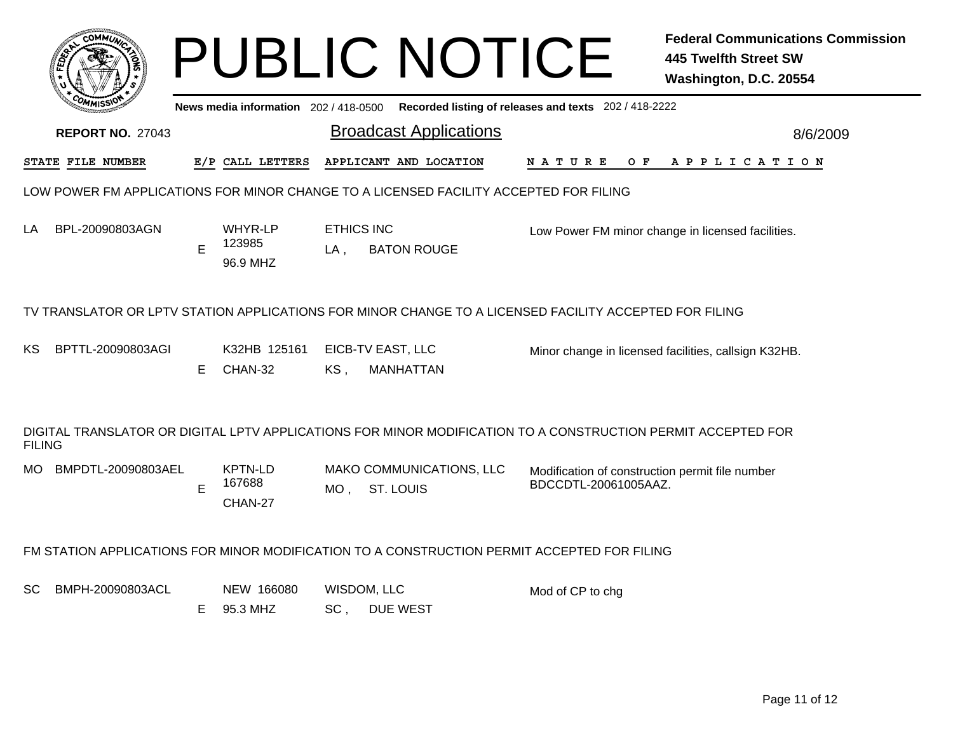|               | COMMU                                                                                                  |    |                                     |                          | <b>PUBLIC NOTICE</b>                                                                                         |                                                                         | <b>Federal Communications Commission</b><br><b>445 Twelfth Street SW</b><br>Washington, D.C. 20554 |  |  |  |  |
|---------------|--------------------------------------------------------------------------------------------------------|----|-------------------------------------|--------------------------|--------------------------------------------------------------------------------------------------------------|-------------------------------------------------------------------------|----------------------------------------------------------------------------------------------------|--|--|--|--|
|               |                                                                                                        |    | News media information 202/418-0500 |                          | Recorded listing of releases and texts 202 / 418-2222                                                        |                                                                         |                                                                                                    |  |  |  |  |
|               | <b>REPORT NO. 27043</b>                                                                                |    |                                     |                          | <b>Broadcast Applications</b>                                                                                |                                                                         | 8/6/2009                                                                                           |  |  |  |  |
|               | STATE FILE NUMBER                                                                                      |    | E/P CALL LETTERS                    |                          | APPLICANT AND LOCATION                                                                                       | N A T U R E<br>O F                                                      | A P P L I C A T I O N                                                                              |  |  |  |  |
|               | LOW POWER FM APPLICATIONS FOR MINOR CHANGE TO A LICENSED FACILITY ACCEPTED FOR FILING                  |    |                                     |                          |                                                                                                              |                                                                         |                                                                                                    |  |  |  |  |
| LA            | BPL-20090803AGN                                                                                        | E  | WHYR-LP<br>123985<br>96.9 MHZ       | <b>ETHICS INC</b><br>LA, | <b>BATON ROUGE</b>                                                                                           |                                                                         | Low Power FM minor change in licensed facilities.                                                  |  |  |  |  |
|               | TV TRANSLATOR OR LPTV STATION APPLICATIONS FOR MINOR CHANGE TO A LICENSED FACILITY ACCEPTED FOR FILING |    |                                     |                          |                                                                                                              |                                                                         |                                                                                                    |  |  |  |  |
| ΚS            | BPTTL-20090803AGI                                                                                      | E. | K32HB 125161<br>CHAN-32             | KS,                      | EICB-TV EAST, LLC<br><b>MANHATTAN</b>                                                                        |                                                                         | Minor change in licensed facilities, callsign K32HB.                                               |  |  |  |  |
| <b>FILING</b> |                                                                                                        |    |                                     |                          | DIGITAL TRANSLATOR OR DIGITAL LPTV APPLICATIONS FOR MINOR MODIFICATION TO A CONSTRUCTION PERMIT ACCEPTED FOR |                                                                         |                                                                                                    |  |  |  |  |
| MO.           | BMPDTL-20090803AEL                                                                                     | E  | <b>KPTN-LD</b><br>167688<br>CHAN-27 |                          | MAKO COMMUNICATIONS, LLC<br>MO, ST. LOUIS                                                                    | Modification of construction permit file number<br>BDCCDTL-20061005AAZ. |                                                                                                    |  |  |  |  |
|               |                                                                                                        |    |                                     |                          | FM STATION APPLICATIONS FOR MINOR MODIFICATION TO A CONSTRUCTION PERMIT ACCEPTED FOR FILING                  |                                                                         |                                                                                                    |  |  |  |  |
| SC            | BMPH-20090803ACL                                                                                       | E. | NEW 166080<br>95.3 MHZ              | SC,                      | WISDOM, LLC<br>DUE WEST                                                                                      | Mod of CP to chg                                                        |                                                                                                    |  |  |  |  |